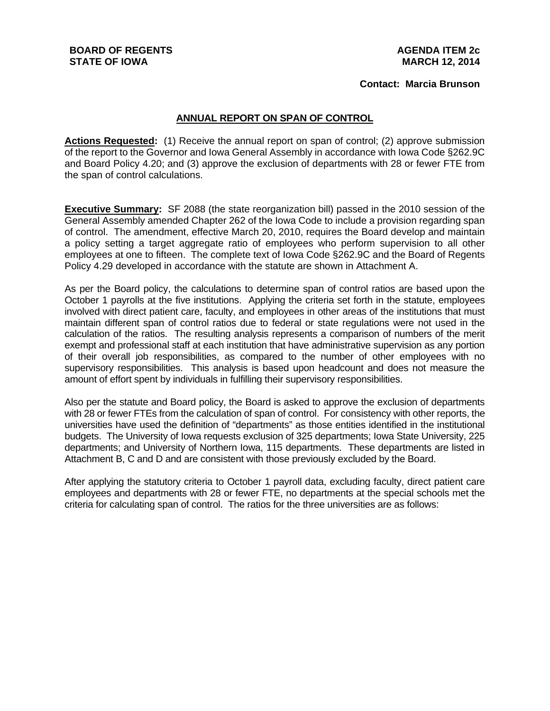**Contact: Marcia Brunson**

## **ANNUAL REPORT ON SPAN OF CONTROL**

**Actions Requested:** (1) Receive the annual report on span of control; (2) approve submission of the report to the Governor and Iowa General Assembly in accordance with Iowa Code §262.9C and Board Policy 4.20; and (3) approve the exclusion of departments with 28 or fewer FTE from the span of control calculations.

**Executive Summary:** SF 2088 (the state reorganization bill) passed in the 2010 session of the General Assembly amended Chapter 262 of the Iowa Code to include a provision regarding span of control. The amendment, effective March 20, 2010, requires the Board develop and maintain a policy setting a target aggregate ratio of employees who perform supervision to all other employees at one to fifteen. The complete text of Iowa Code §262.9C and the Board of Regents Policy 4.29 developed in accordance with the statute are shown in Attachment A.

As per the Board policy, the calculations to determine span of control ratios are based upon the October 1 payrolls at the five institutions. Applying the criteria set forth in the statute, employees involved with direct patient care, faculty, and employees in other areas of the institutions that must maintain different span of control ratios due to federal or state regulations were not used in the calculation of the ratios. The resulting analysis represents a comparison of numbers of the merit exempt and professional staff at each institution that have administrative supervision as any portion of their overall job responsibilities, as compared to the number of other employees with no supervisory responsibilities. This analysis is based upon headcount and does not measure the amount of effort spent by individuals in fulfilling their supervisory responsibilities.

Also per the statute and Board policy, the Board is asked to approve the exclusion of departments with 28 or fewer FTEs from the calculation of span of control. For consistency with other reports, the universities have used the definition of "departments" as those entities identified in the institutional budgets. The University of Iowa requests exclusion of 325 departments; Iowa State University, 225 departments; and University of Northern Iowa, 115 departments. These departments are listed in Attachment B, C and D and are consistent with those previously excluded by the Board.

After applying the statutory criteria to October 1 payroll data, excluding faculty, direct patient care employees and departments with 28 or fewer FTE, no departments at the special schools met the criteria for calculating span of control. The ratios for the three universities are as follows: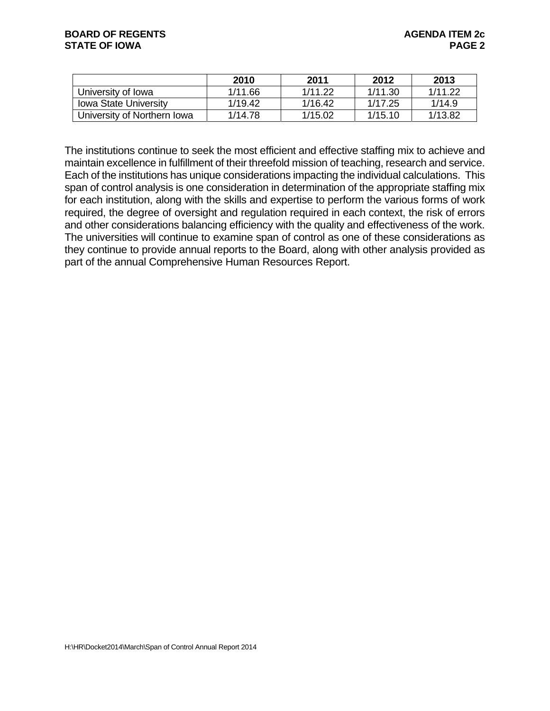|                              | 2010    | 2011    | 2012    | 2013    |
|------------------------------|---------|---------|---------|---------|
| University of Iowa           | 1/11.66 | 1/11.22 | 1/11.30 | 1/11.22 |
| <b>Iowa State University</b> | 1/19.42 | 1/16.42 | 1/17.25 | 1/14.9  |
| University of Northern Iowa  | 1/14.78 | 1/15.02 | 1/15.10 | 1/13.82 |

The institutions continue to seek the most efficient and effective staffing mix to achieve and maintain excellence in fulfillment of their threefold mission of teaching, research and service. Each of the institutions has unique considerations impacting the individual calculations. This span of control analysis is one consideration in determination of the appropriate staffing mix for each institution, along with the skills and expertise to perform the various forms of work required, the degree of oversight and regulation required in each context, the risk of errors and other considerations balancing efficiency with the quality and effectiveness of the work. The universities will continue to examine span of control as one of these considerations as they continue to provide annual reports to the Board, along with other analysis provided as part of the annual Comprehensive Human Resources Report.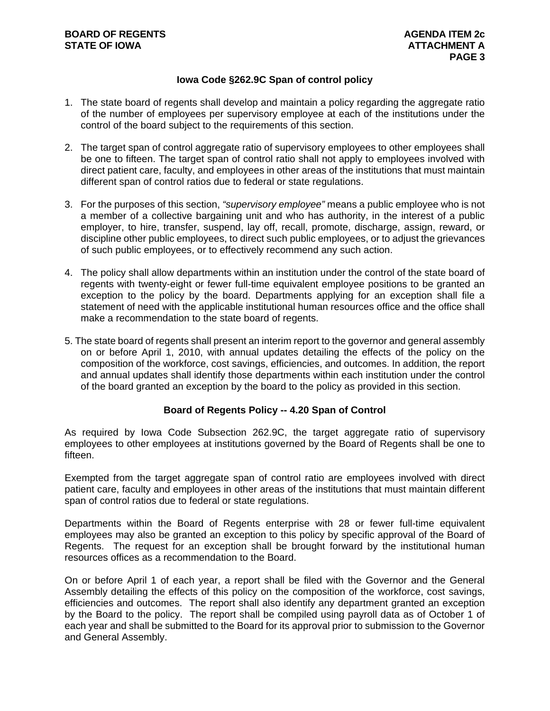### **Iowa Code §262.9C Span of control policy**

- 1. The state board of regents shall develop and maintain a policy regarding the aggregate ratio of the number of employees per supervisory employee at each of the institutions under the control of the board subject to the requirements of this section.
- 2. The target span of control aggregate ratio of supervisory employees to other employees shall be one to fifteen. The target span of control ratio shall not apply to employees involved with direct patient care, faculty, and employees in other areas of the institutions that must maintain different span of control ratios due to federal or state regulations.
- 3. For the purposes of this section, *"supervisory employee"* means a public employee who is not a member of a collective bargaining unit and who has authority, in the interest of a public employer, to hire, transfer, suspend, lay off, recall, promote, discharge, assign, reward, or discipline other public employees, to direct such public employees, or to adjust the grievances of such public employees, or to effectively recommend any such action.
- 4. The policy shall allow departments within an institution under the control of the state board of regents with twenty-eight or fewer full-time equivalent employee positions to be granted an exception to the policy by the board. Departments applying for an exception shall file a statement of need with the applicable institutional human resources office and the office shall make a recommendation to the state board of regents.
- 5. The state board of regents shall present an interim report to the governor and general assembly on or before April 1, 2010, with annual updates detailing the effects of the policy on the composition of the workforce, cost savings, efficiencies, and outcomes. In addition, the report and annual updates shall identify those departments within each institution under the control of the board granted an exception by the board to the policy as provided in this section.

### **Board of Regents Policy -- 4.20 Span of Control**

As required by Iowa Code Subsection 262.9C, the target aggregate ratio of supervisory employees to other employees at institutions governed by the Board of Regents shall be one to fifteen.

Exempted from the target aggregate span of control ratio are employees involved with direct patient care, faculty and employees in other areas of the institutions that must maintain different span of control ratios due to federal or state regulations.

Departments within the Board of Regents enterprise with 28 or fewer full-time equivalent employees may also be granted an exception to this policy by specific approval of the Board of Regents. The request for an exception shall be brought forward by the institutional human resources offices as a recommendation to the Board.

On or before April 1 of each year, a report shall be filed with the Governor and the General Assembly detailing the effects of this policy on the composition of the workforce, cost savings, efficiencies and outcomes. The report shall also identify any department granted an exception by the Board to the policy. The report shall be compiled using payroll data as of October 1 of each year and shall be submitted to the Board for its approval prior to submission to the Governor and General Assembly.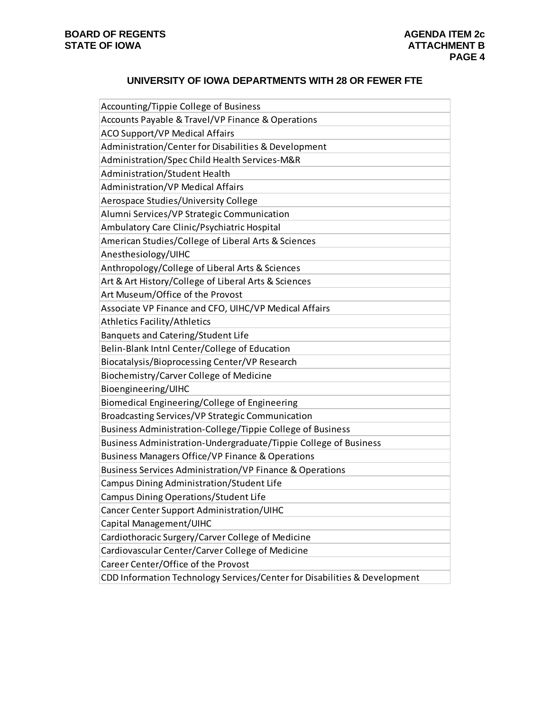# **UNIVERSITY OF IOWA DEPARTMENTS WITH 28 OR FEWER FTE**

| Accounting/Tippie College of Business                                     |
|---------------------------------------------------------------------------|
| Accounts Payable & Travel/VP Finance & Operations                         |
| <b>ACO Support/VP Medical Affairs</b>                                     |
| Administration/Center for Disabilities & Development                      |
| Administration/Spec Child Health Services-M&R                             |
| Administration/Student Health                                             |
| <b>Administration/VP Medical Affairs</b>                                  |
| Aerospace Studies/University College                                      |
| Alumni Services/VP Strategic Communication                                |
| Ambulatory Care Clinic/Psychiatric Hospital                               |
| American Studies/College of Liberal Arts & Sciences                       |
| Anesthesiology/UIHC                                                       |
| Anthropology/College of Liberal Arts & Sciences                           |
| Art & Art History/College of Liberal Arts & Sciences                      |
| Art Museum/Office of the Provost                                          |
| Associate VP Finance and CFO, UIHC/VP Medical Affairs                     |
| <b>Athletics Facility/Athletics</b>                                       |
| Banquets and Catering/Student Life                                        |
| Belin-Blank Intnl Center/College of Education                             |
| Biocatalysis/Bioprocessing Center/VP Research                             |
| Biochemistry/Carver College of Medicine                                   |
| Bioengineering/UIHC                                                       |
| Biomedical Engineering/College of Engineering                             |
| Broadcasting Services/VP Strategic Communication                          |
| Business Administration-College/Tippie College of Business                |
| Business Administration-Undergraduate/Tippie College of Business          |
| Business Managers Office/VP Finance & Operations                          |
| Business Services Administration/VP Finance & Operations                  |
| Campus Dining Administration/Student Life                                 |
| Campus Dining Operations/Student Life                                     |
| Cancer Center Support Administration/UIHC                                 |
| Capital Management/UIHC                                                   |
| Cardiothoracic Surgery/Carver College of Medicine                         |
| Cardiovascular Center/Carver College of Medicine                          |
| Career Center/Office of the Provost                                       |
| CDD Information Technology Services/Center for Disabilities & Development |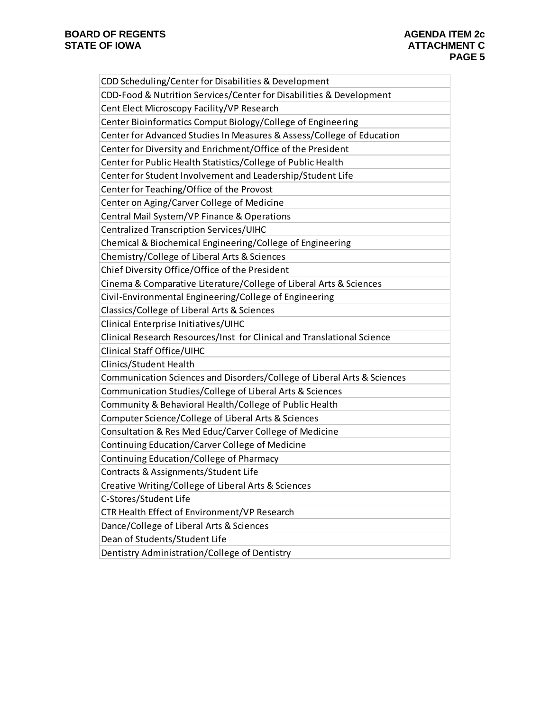| CDD Scheduling/Center for Disabilities & Development                    |
|-------------------------------------------------------------------------|
| CDD-Food & Nutrition Services/Center for Disabilities & Development     |
| Cent Elect Microscopy Facility/VP Research                              |
| Center Bioinformatics Comput Biology/College of Engineering             |
| Center for Advanced Studies In Measures & Assess/College of Education   |
| Center for Diversity and Enrichment/Office of the President             |
| Center for Public Health Statistics/College of Public Health            |
| Center for Student Involvement and Leadership/Student Life              |
| Center for Teaching/Office of the Provost                               |
| Center on Aging/Carver College of Medicine                              |
| Central Mail System/VP Finance & Operations                             |
| Centralized Transcription Services/UIHC                                 |
| Chemical & Biochemical Engineering/College of Engineering               |
| Chemistry/College of Liberal Arts & Sciences                            |
| Chief Diversity Office/Office of the President                          |
| Cinema & Comparative Literature/College of Liberal Arts & Sciences      |
| Civil-Environmental Engineering/College of Engineering                  |
| Classics/College of Liberal Arts & Sciences                             |
| Clinical Enterprise Initiatives/UIHC                                    |
| Clinical Research Resources/Inst for Clinical and Translational Science |
| Clinical Staff Office/UIHC                                              |
| Clinics/Student Health                                                  |
| Communication Sciences and Disorders/College of Liberal Arts & Sciences |
| Communication Studies/College of Liberal Arts & Sciences                |
| Community & Behavioral Health/College of Public Health                  |
| Computer Science/College of Liberal Arts & Sciences                     |
| Consultation & Res Med Educ/Carver College of Medicine                  |
| Continuing Education/Carver College of Medicine                         |
| Continuing Education/College of Pharmacy                                |
| Contracts & Assignments/Student Life                                    |
| Creative Writing/College of Liberal Arts & Sciences                     |
| C-Stores/Student Life                                                   |
| CTR Health Effect of Environment/VP Research                            |
| Dance/College of Liberal Arts & Sciences                                |
| Dean of Students/Student Life                                           |
| Dentistry Administration/College of Dentistry                           |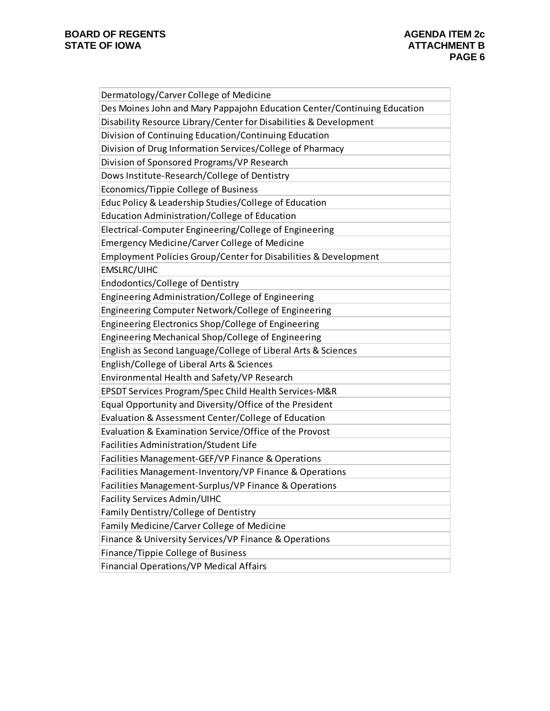| Dermatology/Carver College of Medicine                                   |
|--------------------------------------------------------------------------|
| Des Moines John and Mary Pappajohn Education Center/Continuing Education |
| Disability Resource Library/Center for Disabilities & Development        |
| Division of Continuing Education/Continuing Education                    |
| Division of Drug Information Services/College of Pharmacy                |
| Division of Sponsored Programs/VP Research                               |
| Dows Institute-Research/College of Dentistry                             |
| Economics/Tippie College of Business                                     |
| Educ Policy & Leadership Studies/College of Education                    |
| Education Administration/College of Education                            |
| Electrical-Computer Engineering/College of Engineering                   |
| <b>Emergency Medicine/Carver College of Medicine</b>                     |
| Employment Policies Group/Center for Disabilities & Development          |
| EMSLRC/UIHC                                                              |
| Endodontics/College of Dentistry                                         |
| Engineering Administration/College of Engineering                        |
| Engineering Computer Network/College of Engineering                      |
| Engineering Electronics Shop/College of Engineering                      |
| Engineering Mechanical Shop/College of Engineering                       |
| English as Second Language/College of Liberal Arts & Sciences            |
| English/College of Liberal Arts & Sciences                               |
| Environmental Health and Safety/VP Research                              |
| EPSDT Services Program/Spec Child Health Services-M&R                    |
| Equal Opportunity and Diversity/Office of the President                  |
| Evaluation & Assessment Center/College of Education                      |
| Evaluation & Examination Service/Office of the Provost                   |
| Facilities Administration/Student Life                                   |
| Facilities Management-GEF/VP Finance & Operations                        |
| Facilities Management-Inventory/VP Finance & Operations                  |
| Facilities Management-Surplus/VP Finance & Operations                    |
| Facility Services Admin/UIHC                                             |
| Family Dentistry/College of Dentistry                                    |
| Family Medicine/Carver College of Medicine                               |
| Finance & University Services/VP Finance & Operations                    |
| Finance/Tippie College of Business                                       |
| Financial Operations/VP Medical Affairs                                  |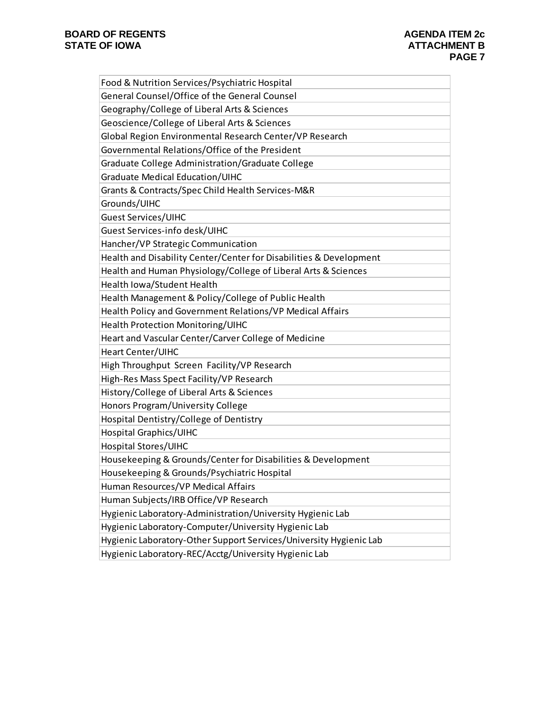| Food & Nutrition Services/Psychiatric Hospital                     |
|--------------------------------------------------------------------|
| General Counsel/Office of the General Counsel                      |
| Geography/College of Liberal Arts & Sciences                       |
| Geoscience/College of Liberal Arts & Sciences                      |
| Global Region Environmental Research Center/VP Research            |
| Governmental Relations/Office of the President                     |
| Graduate College Administration/Graduate College                   |
| <b>Graduate Medical Education/UIHC</b>                             |
| Grants & Contracts/Spec Child Health Services-M&R                  |
| Grounds/UIHC                                                       |
| <b>Guest Services/UIHC</b>                                         |
| Guest Services-info desk/UIHC                                      |
| Hancher/VP Strategic Communication                                 |
| Health and Disability Center/Center for Disabilities & Development |
| Health and Human Physiology/College of Liberal Arts & Sciences     |
| Health Iowa/Student Health                                         |
| Health Management & Policy/College of Public Health                |
| Health Policy and Government Relations/VP Medical Affairs          |
| Health Protection Monitoring/UIHC                                  |
| Heart and Vascular Center/Carver College of Medicine               |
| Heart Center/UIHC                                                  |
| High Throughput Screen Facility/VP Research                        |
| High-Res Mass Spect Facility/VP Research                           |
| History/College of Liberal Arts & Sciences                         |
| Honors Program/University College                                  |
| Hospital Dentistry/College of Dentistry                            |
|                                                                    |
| <b>Hospital Graphics/UIHC</b>                                      |
| Hospital Stores/UIHC                                               |
| Housekeeping & Grounds/Center for Disabilities & Development       |
| Housekeeping & Grounds/Psychiatric Hospital                        |
| Human Resources/VP Medical Affairs                                 |
| Human Subjects/IRB Office/VP Research                              |
| Hygienic Laboratory-Administration/University Hygienic Lab         |
| Hygienic Laboratory-Computer/University Hygienic Lab               |
| Hygienic Laboratory-Other Support Services/University Hygienic Lab |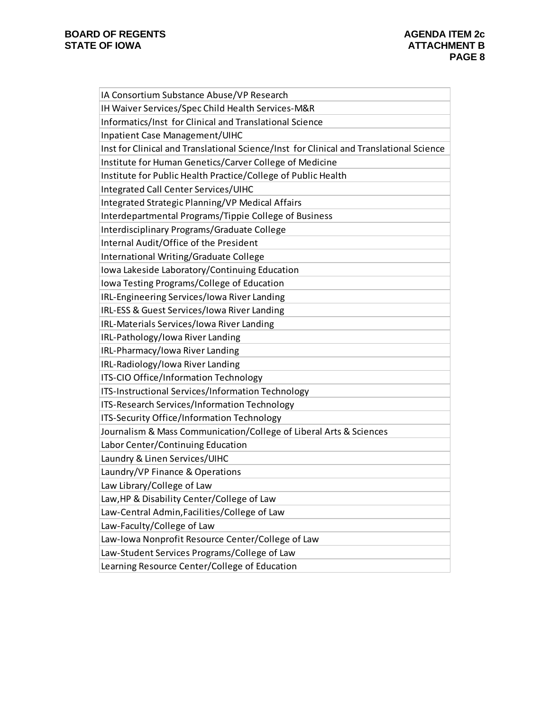| IA Consortium Substance Abuse/VP Research                                               |
|-----------------------------------------------------------------------------------------|
| IH Waiver Services/Spec Child Health Services-M&R                                       |
| Informatics/Inst for Clinical and Translational Science                                 |
| Inpatient Case Management/UIHC                                                          |
| Inst for Clinical and Translational Science/Inst for Clinical and Translational Science |
| Institute for Human Genetics/Carver College of Medicine                                 |
| Institute for Public Health Practice/College of Public Health                           |
| Integrated Call Center Services/UIHC                                                    |
| Integrated Strategic Planning/VP Medical Affairs                                        |
| Interdepartmental Programs/Tippie College of Business                                   |
| Interdisciplinary Programs/Graduate College                                             |
| Internal Audit/Office of the President                                                  |
| International Writing/Graduate College                                                  |
| Iowa Lakeside Laboratory/Continuing Education                                           |
| Iowa Testing Programs/College of Education                                              |
| IRL-Engineering Services/Iowa River Landing                                             |
| IRL-ESS & Guest Services/Iowa River Landing                                             |
| IRL-Materials Services/Iowa River Landing                                               |
| IRL-Pathology/Iowa River Landing                                                        |
| IRL-Pharmacy/Iowa River Landing                                                         |
| IRL-Radiology/Iowa River Landing                                                        |
| ITS-CIO Office/Information Technology                                                   |
| ITS-Instructional Services/Information Technology                                       |
| ITS-Research Services/Information Technology                                            |
| ITS-Security Office/Information Technology                                              |
| Journalism & Mass Communication/College of Liberal Arts & Sciences                      |
| Labor Center/Continuing Education                                                       |
| Laundry & Linen Services/UIHC                                                           |
| Laundry/VP Finance & Operations                                                         |
| Law Library/College of Law                                                              |
| Law, HP & Disability Center/College of Law                                              |
| Law-Central Admin, Facilities/College of Law                                            |
| Law-Faculty/College of Law                                                              |
| Law-Iowa Nonprofit Resource Center/College of Law                                       |
| Law-Student Services Programs/College of Law                                            |
| Learning Resource Center/College of Education                                           |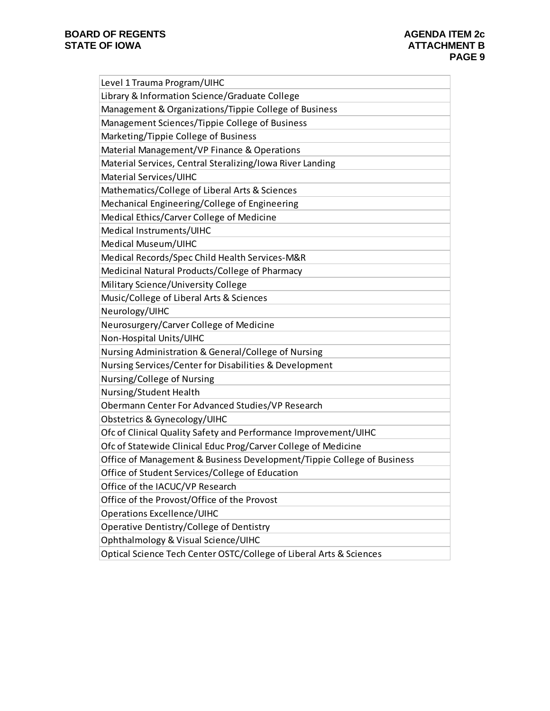| Level 1 Trauma Program/UIHC                                            |
|------------------------------------------------------------------------|
| Library & Information Science/Graduate College                         |
| Management & Organizations/Tippie College of Business                  |
| Management Sciences/Tippie College of Business                         |
| Marketing/Tippie College of Business                                   |
| Material Management/VP Finance & Operations                            |
| Material Services, Central Steralizing/Iowa River Landing              |
| Material Services/UIHC                                                 |
| Mathematics/College of Liberal Arts & Sciences                         |
| Mechanical Engineering/College of Engineering                          |
| Medical Ethics/Carver College of Medicine                              |
| Medical Instruments/UIHC                                               |
| Medical Museum/UIHC                                                    |
| Medical Records/Spec Child Health Services-M&R                         |
| Medicinal Natural Products/College of Pharmacy                         |
| Military Science/University College                                    |
| Music/College of Liberal Arts & Sciences                               |
| Neurology/UIHC                                                         |
| Neurosurgery/Carver College of Medicine                                |
| Non-Hospital Units/UIHC                                                |
| Nursing Administration & General/College of Nursing                    |
| Nursing Services/Center for Disabilities & Development                 |
| Nursing/College of Nursing                                             |
| Nursing/Student Health                                                 |
| Obermann Center For Advanced Studies/VP Research                       |
| Obstetrics & Gynecology/UIHC                                           |
| Ofc of Clinical Quality Safety and Performance Improvement/UIHC        |
| Ofc of Statewide Clinical Educ Prog/Carver College of Medicine         |
| Office of Management & Business Development/Tippie College of Business |
| Office of Student Services/College of Education                        |
| Office of the IACUC/VP Research                                        |
| Office of the Provost/Office of the Provost                            |
| <b>Operations Excellence/UIHC</b>                                      |
| Operative Dentistry/College of Dentistry                               |
| Ophthalmology & Visual Science/UIHC                                    |
| Optical Science Tech Center OSTC/College of Liberal Arts & Sciences    |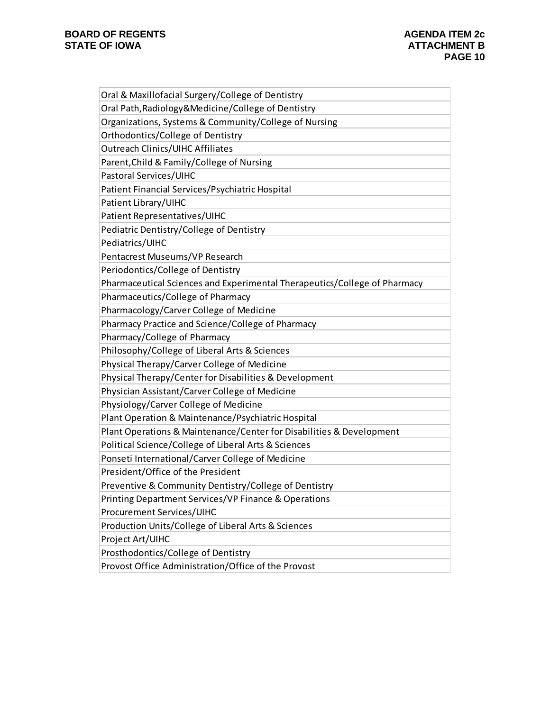| Oral & Maxillofacial Surgery/College of Dentistry                         |
|---------------------------------------------------------------------------|
| Oral Path, Radiology & Medicine/College of Dentistry                      |
| Organizations, Systems & Community/College of Nursing                     |
| Orthodontics/College of Dentistry                                         |
| <b>Outreach Clinics/UIHC Affiliates</b>                                   |
| Parent, Child & Family/College of Nursing                                 |
| Pastoral Services/UIHC                                                    |
| Patient Financial Services/Psychiatric Hospital                           |
| Patient Library/UIHC                                                      |
| Patient Representatives/UIHC                                              |
| Pediatric Dentistry/College of Dentistry                                  |
| Pediatrics/UIHC                                                           |
| Pentacrest Museums/VP Research                                            |
| Periodontics/College of Dentistry                                         |
| Pharmaceutical Sciences and Experimental Therapeutics/College of Pharmacy |
| Pharmaceutics/College of Pharmacy                                         |
| Pharmacology/Carver College of Medicine                                   |
| Pharmacy Practice and Science/College of Pharmacy                         |
| Pharmacy/College of Pharmacy                                              |
| Philosophy/College of Liberal Arts & Sciences                             |
| Physical Therapy/Carver College of Medicine                               |
| Physical Therapy/Center for Disabilities & Development                    |
| Physician Assistant/Carver College of Medicine                            |
| Physiology/Carver College of Medicine                                     |
| Plant Operation & Maintenance/Psychiatric Hospital                        |
| Plant Operations & Maintenance/Center for Disabilities & Development      |
| Political Science/College of Liberal Arts & Sciences                      |
| Ponseti International/Carver College of Medicine                          |
| President/Office of the President                                         |
| Preventive & Community Dentistry/College of Dentistry                     |
| Printing Department Services/VP Finance & Operations                      |
| <b>Procurement Services/UIHC</b>                                          |
| Production Units/College of Liberal Arts & Sciences                       |
| Project Art/UIHC                                                          |
| Prosthodontics/College of Dentistry                                       |
|                                                                           |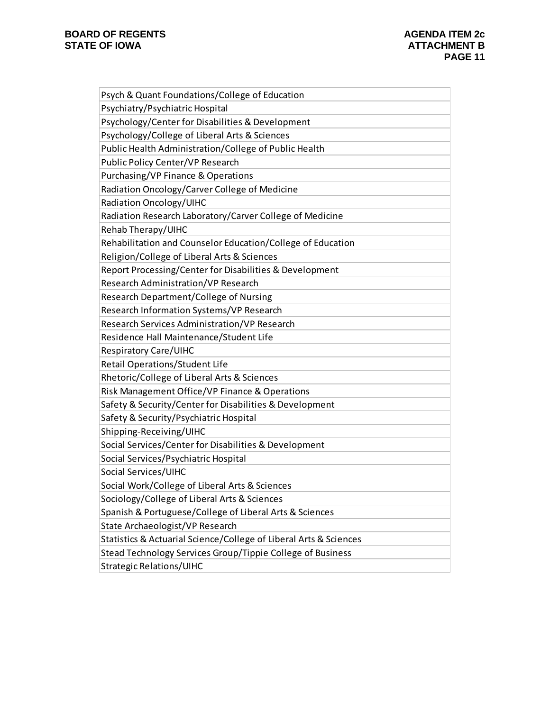| Psych & Quant Foundations/College of Education                    |
|-------------------------------------------------------------------|
| Psychiatry/Psychiatric Hospital                                   |
| Psychology/Center for Disabilities & Development                  |
| Psychology/College of Liberal Arts & Sciences                     |
| Public Health Administration/College of Public Health             |
| Public Policy Center/VP Research                                  |
| Purchasing/VP Finance & Operations                                |
| Radiation Oncology/Carver College of Medicine                     |
| Radiation Oncology/UIHC                                           |
| Radiation Research Laboratory/Carver College of Medicine          |
| Rehab Therapy/UIHC                                                |
| Rehabilitation and Counselor Education/College of Education       |
| Religion/College of Liberal Arts & Sciences                       |
| Report Processing/Center for Disabilities & Development           |
| Research Administration/VP Research                               |
| Research Department/College of Nursing                            |
| Research Information Systems/VP Research                          |
| Research Services Administration/VP Research                      |
| Residence Hall Maintenance/Student Life                           |
| <b>Respiratory Care/UIHC</b>                                      |
| Retail Operations/Student Life                                    |
| Rhetoric/College of Liberal Arts & Sciences                       |
| Risk Management Office/VP Finance & Operations                    |
| Safety & Security/Center for Disabilities & Development           |
| Safety & Security/Psychiatric Hospital                            |
| Shipping-Receiving/UIHC                                           |
| Social Services/Center for Disabilities & Development             |
| Social Services/Psychiatric Hospital                              |
| Social Services/UIHC                                              |
| Social Work/College of Liberal Arts & Sciences                    |
| Sociology/College of Liberal Arts & Sciences                      |
| Spanish & Portuguese/College of Liberal Arts & Sciences           |
| State Archaeologist/VP Research                                   |
| Statistics & Actuarial Science/College of Liberal Arts & Sciences |
| Stead Technology Services Group/Tippie College of Business        |
| Strategic Relations/UIHC                                          |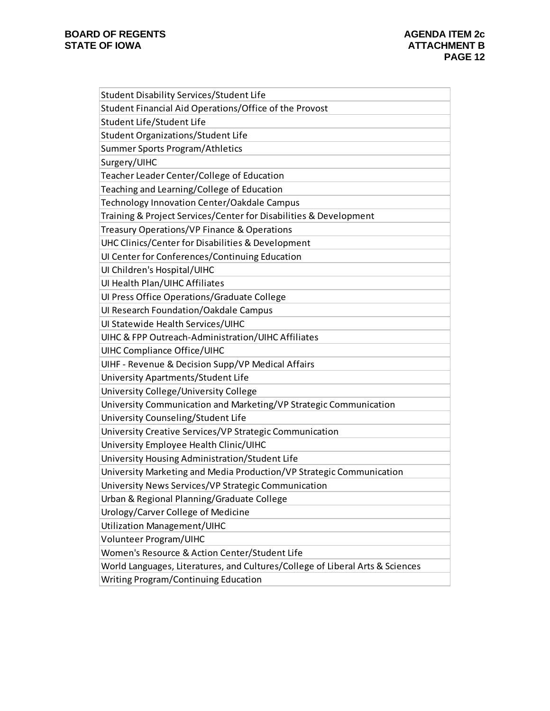| Student Disability Services/Student Life                                      |
|-------------------------------------------------------------------------------|
| Student Financial Aid Operations/Office of the Provost                        |
| Student Life/Student Life                                                     |
| <b>Student Organizations/Student Life</b>                                     |
| Summer Sports Program/Athletics                                               |
| Surgery/UIHC                                                                  |
| Teacher Leader Center/College of Education                                    |
| Teaching and Learning/College of Education                                    |
| Technology Innovation Center/Oakdale Campus                                   |
| Training & Project Services/Center for Disabilities & Development             |
| Treasury Operations/VP Finance & Operations                                   |
| UHC Clinics/Center for Disabilities & Development                             |
| UI Center for Conferences/Continuing Education                                |
| UI Children's Hospital/UIHC                                                   |
| UI Health Plan/UIHC Affiliates                                                |
| Ul Press Office Operations/Graduate College                                   |
| Ul Research Foundation/Oakdale Campus                                         |
| Ul Statewide Health Services/UIHC                                             |
| UIHC & FPP Outreach-Administration/UIHC Affiliates                            |
| <b>UIHC Compliance Office/UIHC</b>                                            |
| UIHF - Revenue & Decision Supp/VP Medical Affairs                             |
| University Apartments/Student Life                                            |
| University College/University College                                         |
| University Communication and Marketing/VP Strategic Communication             |
| University Counseling/Student Life                                            |
| University Creative Services/VP Strategic Communication                       |
| University Employee Health Clinic/UIHC                                        |
| University Housing Administration/Student Life                                |
| University Marketing and Media Production/VP Strategic Communication          |
| University News Services/VP Strategic Communication                           |
| Urban & Regional Planning/Graduate College                                    |
| Urology/Carver College of Medicine                                            |
| <b>Utilization Management/UIHC</b>                                            |
| Volunteer Program/UIHC                                                        |
| Women's Resource & Action Center/Student Life                                 |
| World Languages, Literatures, and Cultures/College of Liberal Arts & Sciences |
| Writing Program/Continuing Education                                          |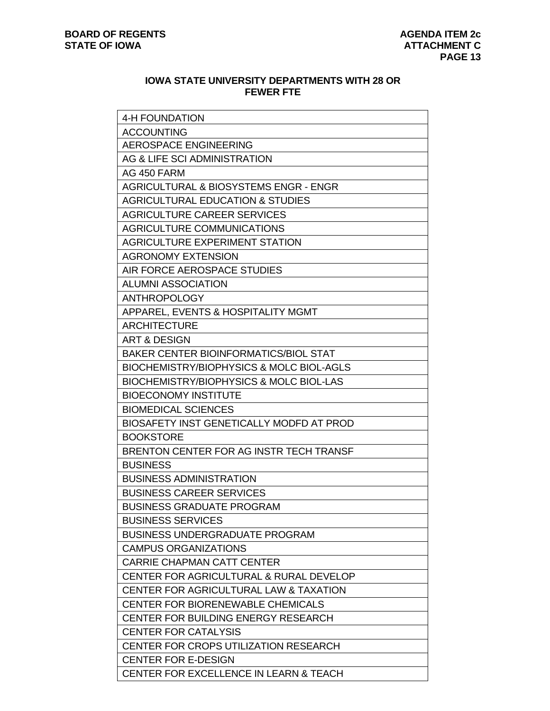# **IOWA STATE UNIVERSITY DEPARTMENTS WITH 28 OR FEWER FTE**

| 4-H FOUNDATION                                    |
|---------------------------------------------------|
| <b>ACCOUNTING</b>                                 |
| AEROSPACE ENGINEERING                             |
| AG & LIFE SCI ADMINISTRATION                      |
| AG 450 FARM                                       |
| <b>AGRICULTURAL &amp; BIOSYSTEMS ENGR - ENGR</b>  |
| <b>AGRICULTURAL EDUCATION &amp; STUDIES</b>       |
| AGRICULTURE CAREER SERVICES                       |
| <b>AGRICULTURE COMMUNICATIONS</b>                 |
| <b>AGRICULTURE EXPERIMENT STATION</b>             |
| <b>AGRONOMY EXTENSION</b>                         |
| AIR FORCE AEROSPACE STUDIES                       |
| <b>ALUMNI ASSOCIATION</b>                         |
| <b>ANTHROPOLOGY</b>                               |
| APPAREL, EVENTS & HOSPITALITY MGMT                |
| <b>ARCHITECTURE</b>                               |
| <b>ART &amp; DESIGN</b>                           |
| <b>BAKER CENTER BIOINFORMATICS/BIOL STAT</b>      |
| BIOCHEMISTRY/BIOPHYSICS & MOLC BIOL-AGLS          |
| BIOCHEMISTRY/BIOPHYSICS & MOLC BIOL-LAS           |
| <b>BIOECONOMY INSTITUTE</b>                       |
| <b>BIOMEDICAL SCIENCES</b>                        |
| BIOSAFETY INST GENETICALLY MODFD AT PROD          |
| <b>BOOKSTORE</b>                                  |
| BRENTON CENTER FOR AG INSTRITECH TRANSF           |
| <b>BUSINESS</b>                                   |
| <b>BUSINESS ADMINISTRATION</b>                    |
| <b>BUSINESS CAREER SERVICES</b>                   |
| <b>BUSINESS GRADUATE PROGRAM</b>                  |
| <b>BUSINESS SERVICES</b>                          |
| <b>BUSINESS UNDERGRADUATE PROGRAM</b>             |
| <b>CAMPUS ORGANIZATIONS</b>                       |
| <b>CARRIE CHAPMAN CATT CENTER</b>                 |
| CENTER FOR AGRICULTURAL & RURAL DEVELOP           |
| <b>CENTER FOR AGRICULTURAL LAW &amp; TAXATION</b> |
| CENTER FOR BIORENEWABLE CHEMICALS                 |
| <b>CENTER FOR BUILDING ENERGY RESEARCH</b>        |
| <b>CENTER FOR CATALYSIS</b>                       |
| <b>CENTER FOR CROPS UTILIZATION RESEARCH</b>      |
| <b>CENTER FOR E-DESIGN</b>                        |
| <b>CENTER FOR EXCELLENCE IN LEARN &amp; TEACH</b> |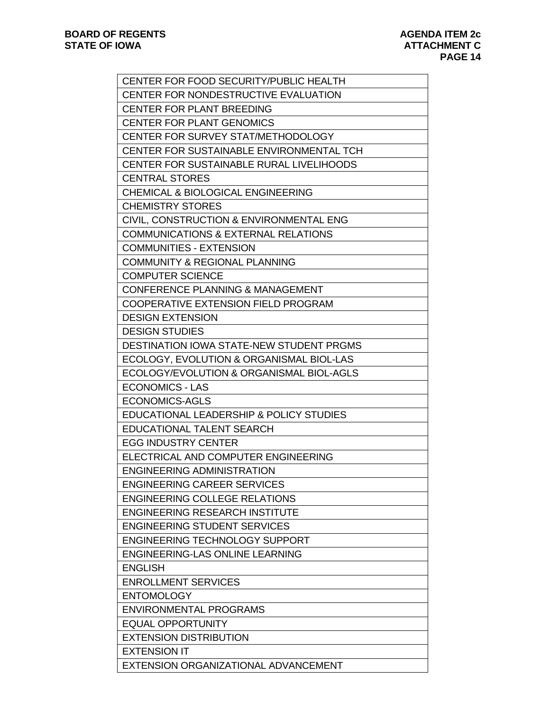| CENTER FOR FOOD SECURITY/PUBLIC HEALTH          |
|-------------------------------------------------|
| CENTER FOR NONDESTRUCTIVE EVALUATION            |
| <b>CENTER FOR PLANT BREEDING</b>                |
| <b>CENTER FOR PLANT GENOMICS</b>                |
| <b>CENTER FOR SURVEY STAT/METHODOLOGY</b>       |
| CENTER FOR SUSTAINABLE ENVIRONMENTAL TCH        |
| CENTER FOR SUSTAINABLE RURAL LIVELIHOODS        |
| <b>CENTRAL STORES</b>                           |
| <b>CHEMICAL &amp; BIOLOGICAL ENGINEERING</b>    |
| <b>CHEMISTRY STORES</b>                         |
| CIVIL, CONSTRUCTION & ENVIRONMENTAL ENG         |
| <b>COMMUNICATIONS &amp; EXTERNAL RELATIONS</b>  |
| <b>COMMUNITIES - EXTENSION</b>                  |
| <b>COMMUNITY &amp; REGIONAL PLANNING</b>        |
| <b>COMPUTER SCIENCE</b>                         |
| <b>CONFERENCE PLANNING &amp; MANAGEMENT</b>     |
| COOPERATIVE EXTENSION FIELD PROGRAM             |
| <b>DESIGN EXTENSION</b>                         |
| <b>DESIGN STUDIES</b>                           |
| <b>DESTINATION IOWA STATE-NEW STUDENT PRGMS</b> |
| ECOLOGY, EVOLUTION & ORGANISMAL BIOL-LAS        |
| ECOLOGY/EVOLUTION & ORGANISMAL BIOL-AGLS        |
| <b>ECONOMICS - LAS</b>                          |
| <b>ECONOMICS-AGLS</b>                           |
| EDUCATIONAL LEADERSHIP & POLICY STUDIES         |
| <b>EDUCATIONAL TALENT SEARCH</b>                |
| <b>EGG INDUSTRY CENTER</b>                      |
| ELECTRICAL AND COMPUTER ENGINEERING             |
| <b>ENGINEERING ADMINISTRATION</b>               |
| <b>ENGINEERING CAREER SERVICES</b>              |
| <b>ENGINEERING COLLEGE RELATIONS</b>            |
| <b>ENGINEERING RESEARCH INSTITUTE</b>           |
| <b>ENGINEERING STUDENT SERVICES</b>             |
| <b>ENGINEERING TECHNOLOGY SUPPORT</b>           |
| <b>ENGINEERING-LAS ONLINE LEARNING</b>          |
| <b>ENGLISH</b>                                  |
| <b>ENROLLMENT SERVICES</b>                      |
| <b>ENTOMOLOGY</b>                               |
| <b>ENVIRONMENTAL PROGRAMS</b>                   |
| <b>EQUAL OPPORTUNITY</b>                        |
| <b>EXTENSION DISTRIBUTION</b>                   |
| <b>EXTENSION IT</b>                             |
| EXTENSION ORGANIZATIONAL ADVANCEMENT            |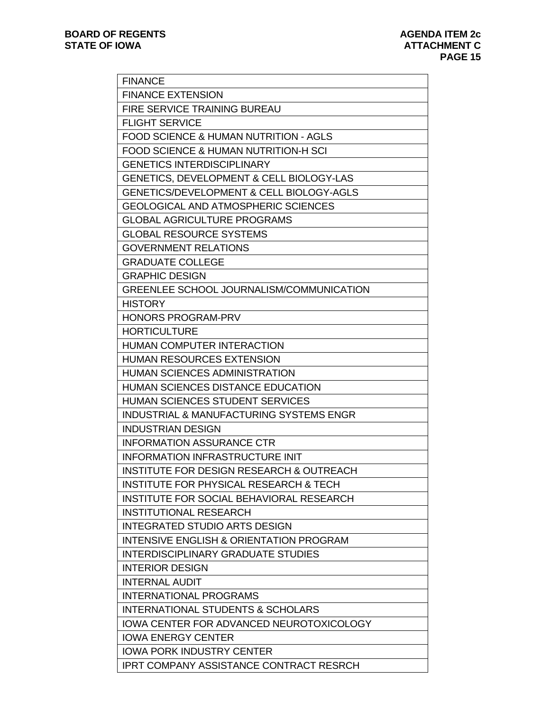| <b>FINANCE</b>                                      |
|-----------------------------------------------------|
| <b>FINANCE EXTENSION</b>                            |
| <b>FIRE SERVICE TRAINING BUREAU</b>                 |
| <b>FLIGHT SERVICE</b>                               |
| <b>FOOD SCIENCE &amp; HUMAN NUTRITION - AGLS</b>    |
| FOOD SCIENCE & HUMAN NUTRITION-H SCI                |
| <b>GENETICS INTERDISCIPLINARY</b>                   |
| <b>GENETICS, DEVELOPMENT &amp; CELL BIOLOGY-LAS</b> |
| <b>GENETICS/DEVELOPMENT &amp; CELL BIOLOGY-AGLS</b> |
| <b>GEOLOGICAL AND ATMOSPHERIC SCIENCES</b>          |
| <b>GLOBAL AGRICULTURE PROGRAMS</b>                  |
| <b>GLOBAL RESOURCE SYSTEMS</b>                      |
| <b>GOVERNMENT RELATIONS</b>                         |
| <b>GRADUATE COLLEGE</b>                             |
| <b>GRAPHIC DESIGN</b>                               |
| GREENLEE SCHOOL JOURNALISM/COMMUNICATION            |
| <b>HISTORY</b>                                      |
| <b>HONORS PROGRAM-PRV</b>                           |
| <b>HORTICULTURE</b>                                 |
| <b>HUMAN COMPUTER INTERACTION</b>                   |
| <b>HUMAN RESOURCES EXTENSION</b>                    |
| <b>HUMAN SCIENCES ADMINISTRATION</b>                |
| <b>HUMAN SCIENCES DISTANCE EDUCATION</b>            |
| <b>HUMAN SCIENCES STUDENT SERVICES</b>              |
| INDUSTRIAL & MANUFACTURING SYSTEMS ENGR             |
| <b>INDUSTRIAN DESIGN</b>                            |
| <b>INFORMATION ASSURANCE CTR</b>                    |
| <b>INFORMATION INFRASTRUCTURE INIT</b>              |
| INSTITUTE FOR DESIGN RESEARCH & OUTREACH            |
| <b>INSTITUTE FOR PHYSICAL RESEARCH &amp; TECH</b>   |
| <b>INSTITUTE FOR SOCIAL BEHAVIORAL RESEARCH</b>     |
| <b>INSTITUTIONAL RESEARCH</b>                       |
| <b>INTEGRATED STUDIO ARTS DESIGN</b>                |
| <b>INTENSIVE ENGLISH &amp; ORIENTATION PROGRAM</b>  |
| <b>INTERDISCIPLINARY GRADUATE STUDIES</b>           |
| <b>INTERIOR DESIGN</b>                              |
| <b>INTERNAL AUDIT</b>                               |
| <b>INTERNATIONAL PROGRAMS</b>                       |
| <b>INTERNATIONAL STUDENTS &amp; SCHOLARS</b>        |
| <b>IOWA CENTER FOR ADVANCED NEUROTOXICOLOGY</b>     |
| <b>IOWA ENERGY CENTER</b>                           |
| <b>IOWA PORK INDUSTRY CENTER</b>                    |
| <b>IPRT COMPANY ASSISTANCE CONTRACT RESRCH</b>      |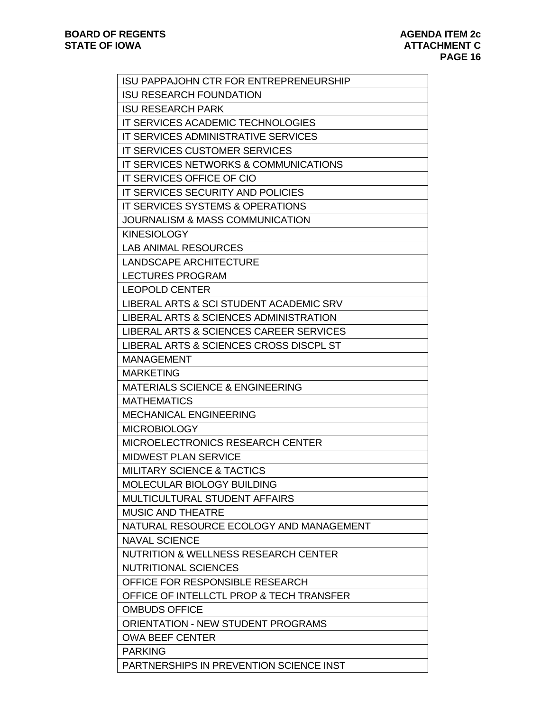| <b>ISU PAPPAJOHN CTR FOR ENTREPRENEURSHIP</b>   |
|-------------------------------------------------|
| <b>ISU RESEARCH FOUNDATION</b>                  |
| <b>ISU RESEARCH PARK</b>                        |
| IT SERVICES ACADEMIC TECHNOLOGIES               |
| IT SERVICES ADMINISTRATIVE SERVICES             |
| <b>IT SERVICES CUSTOMER SERVICES</b>            |
| IT SERVICES NETWORKS & COMMUNICATIONS           |
| IT SERVICES OFFICE OF CIO                       |
| IT SERVICES SECURITY AND POLICIES               |
| <b>IT SERVICES SYSTEMS &amp; OPERATIONS</b>     |
| <b>JOURNALISM &amp; MASS COMMUNICATION</b>      |
| <b>KINESIOLOGY</b>                              |
| <b>LAB ANIMAL RESOURCES</b>                     |
| <b>LANDSCAPE ARCHITECTURE</b>                   |
| <b>LECTURES PROGRAM</b>                         |
| <b>LEOPOLD CENTER</b>                           |
| LIBERAL ARTS & SCI STUDENT ACADEMIC SRV         |
| LIBERAL ARTS & SCIENCES ADMINISTRATION          |
| LIBERAL ARTS & SCIENCES CAREER SERVICES         |
| LIBERAL ARTS & SCIENCES CROSS DISCPL ST         |
| <b>MANAGEMENT</b>                               |
| <b>MARKETING</b>                                |
| <b>MATERIALS SCIENCE &amp; ENGINEERING</b>      |
| <b>MATHEMATICS</b>                              |
| <b>MECHANICAL ENGINEERING</b>                   |
| <b>MICROBIOLOGY</b>                             |
| <b>MICROELECTRONICS RESEARCH CENTER</b>         |
| <b>MIDWEST PLAN SERVICE</b>                     |
| <b>MILITARY SCIENCE &amp; TACTICS</b>           |
| MOLECULAR BIOLOGY BUILDING                      |
| <b>MULTICULTURAL STUDENT AFFAIRS</b>            |
| <b>MUSIC AND THEATRE</b>                        |
| NATURAL RESOURCE ECOLOGY AND MANAGEMENT         |
| <b>NAVAL SCIENCE</b>                            |
| <b>NUTRITION &amp; WELLNESS RESEARCH CENTER</b> |
| <b>NUTRITIONAL SCIENCES</b>                     |
| OFFICE FOR RESPONSIBLE RESEARCH                 |
| OFFICE OF INTELLCTL PROP & TECH TRANSFER        |
| <b>OMBUDS OFFICE</b>                            |
| <b>ORIENTATION - NEW STUDENT PROGRAMS</b>       |
| <b>OWA BEEF CENTER</b>                          |
| <b>PARKING</b>                                  |
| PARTNERSHIPS IN PREVENTION SCIENCE INST         |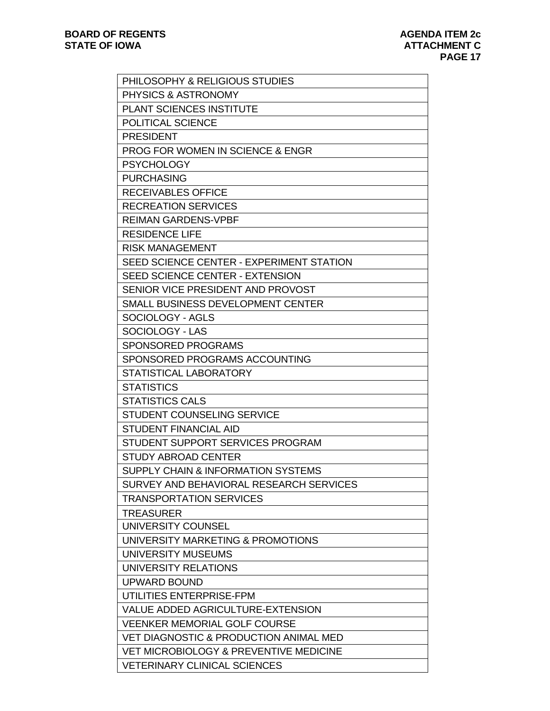| PHILOSOPHY & RELIGIOUS STUDIES                    |
|---------------------------------------------------|
| PHYSICS & ASTRONOMY                               |
| PLANT SCIENCES INSTITUTE                          |
| POLITICAL SCIENCE                                 |
| <b>PRESIDENT</b>                                  |
| <b>PROG FOR WOMEN IN SCIENCE &amp; ENGR</b>       |
| <b>PSYCHOLOGY</b>                                 |
| <b>PURCHASING</b>                                 |
| <b>RECEIVABLES OFFICE</b>                         |
| <b>RECREATION SERVICES</b>                        |
| <b>REIMAN GARDENS-VPBF</b>                        |
| <b>RESIDENCE LIFE</b>                             |
| <b>RISK MANAGEMENT</b>                            |
| SEED SCIENCE CENTER - EXPERIMENT STATION          |
| <b>SEED SCIENCE CENTER - EXTENSION</b>            |
| SENIOR VICE PRESIDENT AND PROVOST                 |
| SMALL BUSINESS DEVELOPMENT CENTER                 |
| SOCIOLOGY - AGLS                                  |
| SOCIOLOGY - LAS                                   |
| <b>SPONSORED PROGRAMS</b>                         |
| SPONSORED PROGRAMS ACCOUNTING                     |
| <b>STATISTICAL LABORATORY</b>                     |
| <b>STATISTICS</b>                                 |
| <b>STATISTICS CALS</b>                            |
| STUDENT COUNSELING SERVICE                        |
| <b>STUDENT FINANCIAL AID</b>                      |
| STUDENT SUPPORT SERVICES PROGRAM                  |
| STUDY ABROAD CENTER                               |
| <b>SUPPLY CHAIN &amp; INFORMATION SYSTEMS</b>     |
| SURVEY AND BEHAVIORAL RESEARCH SERVICES           |
| <b>TRANSPORTATION SERVICES</b>                    |
| <b>TREASURER</b>                                  |
| UNIVERSITY COUNSEL                                |
| UNIVERSITY MARKETING & PROMOTIONS                 |
| UNIVERSITY MUSEUMS                                |
| UNIVERSITY RELATIONS                              |
| <b>UPWARD BOUND</b>                               |
| UTILITIES ENTERPRISE-FPM                          |
| <b>VALUE ADDED AGRICULTURE-EXTENSION</b>          |
| <b>VEENKER MEMORIAL GOLF COURSE</b>               |
| <b>VET DIAGNOSTIC &amp; PRODUCTION ANIMAL MED</b> |
| VET MICROBIOLOGY & PREVENTIVE MEDICINE            |
| <b>VETERINARY CLINICAL SCIENCES</b>               |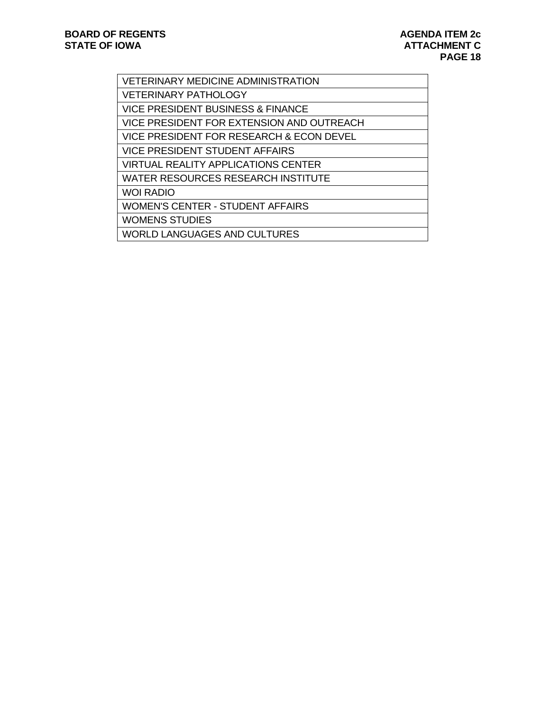| <b>VETERINARY MEDICINE ADMINISTRATION</b> |
|-------------------------------------------|
| <b>VETERINARY PATHOLOGY</b>               |
| VICE PRESIDENT BUSINESS & FINANCE         |
| VICE PRESIDENT FOR EXTENSION AND OUTREACH |
| VICE PRESIDENT FOR RESEARCH & ECON DEVEL  |
| <b>VICE PRESIDENT STUDENT AFFAIRS</b>     |
| VIRTUAL REALITY APPLICATIONS CENTER       |
| WATER RESOURCES RESEARCH INSTITUTE        |
| <b>WOI RADIO</b>                          |
| <b>WOMEN'S CENTER - STUDENT AFFAIRS</b>   |
| <b>WOMENS STUDIES</b>                     |
| <b>WORLD LANGUAGES AND CULTURES</b>       |
|                                           |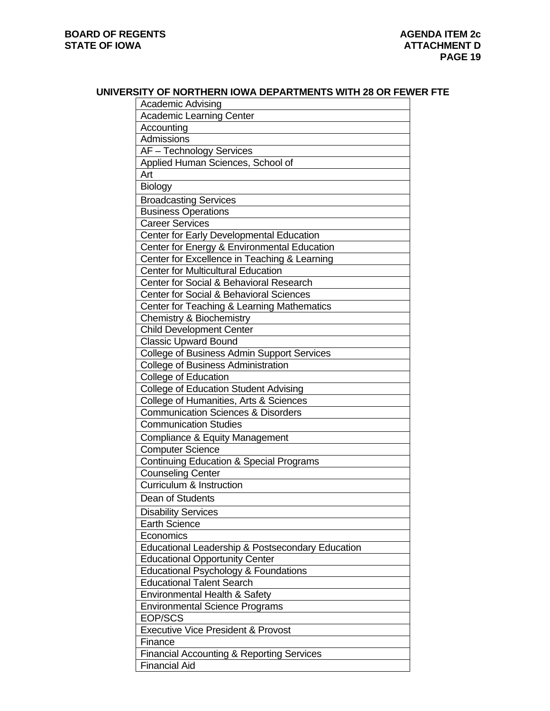### **UNIVERSITY OF NORTHERN IOWA DEPARTMENTS WITH 28 OR FEWER FTE**

| <b>Academic Advising</b>                             |
|------------------------------------------------------|
| <b>Academic Learning Center</b>                      |
| Accounting                                           |
| Admissions                                           |
| AF - Technology Services                             |
| Applied Human Sciences, School of                    |
| Art                                                  |
| Biology                                              |
| <b>Broadcasting Services</b>                         |
| <b>Business Operations</b>                           |
| <b>Career Services</b>                               |
| Center for Early Developmental Education             |
| Center for Energy & Environmental Education          |
| Center for Excellence in Teaching & Learning         |
| <b>Center for Multicultural Education</b>            |
| Center for Social & Behavioral Research              |
| <b>Center for Social &amp; Behavioral Sciences</b>   |
| Center for Teaching & Learning Mathematics           |
| <b>Chemistry &amp; Biochemistry</b>                  |
| <b>Child Development Center</b>                      |
| <b>Classic Upward Bound</b>                          |
| <b>College of Business Admin Support Services</b>    |
| <b>College of Business Administration</b>            |
| <b>College of Education</b>                          |
| <b>College of Education Student Advising</b>         |
| College of Humanities, Arts & Sciences               |
| <b>Communication Sciences &amp; Disorders</b>        |
| <b>Communication Studies</b>                         |
| Compliance & Equity Management                       |
| <b>Computer Science</b>                              |
| <b>Continuing Education &amp; Special Programs</b>   |
| <b>Counseling Center</b>                             |
| Curriculum & Instruction                             |
| Dean of Students                                     |
| <b>Disability Services</b>                           |
| <b>Earth Science</b>                                 |
| Economics                                            |
| Educational Leadership & Postsecondary Education     |
| <b>Educational Opportunity Center</b>                |
| <b>Educational Psychology &amp; Foundations</b>      |
| <b>Educational Talent Search</b>                     |
| Environmental Health & Safety                        |
| <b>Environmental Science Programs</b>                |
| EOP/SCS                                              |
| <b>Executive Vice President &amp; Provost</b>        |
| Finance                                              |
| <b>Financial Accounting &amp; Reporting Services</b> |
| <b>Financial Aid</b>                                 |
|                                                      |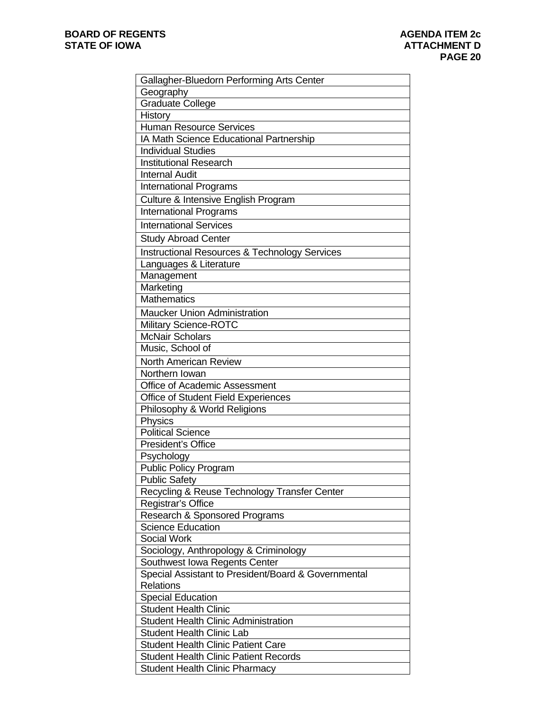| Gallagher-Bluedorn Performing Arts Center                                            |
|--------------------------------------------------------------------------------------|
| Geography                                                                            |
| <b>Graduate College</b>                                                              |
| <b>History</b>                                                                       |
| <b>Human Resource Services</b>                                                       |
| IA Math Science Educational Partnership                                              |
| <b>Individual Studies</b>                                                            |
| <b>Institutional Research</b>                                                        |
| <b>Internal Audit</b>                                                                |
| <b>International Programs</b>                                                        |
| Culture & Intensive English Program                                                  |
| <b>International Programs</b>                                                        |
| <b>International Services</b>                                                        |
| <b>Study Abroad Center</b>                                                           |
| <b>Instructional Resources &amp; Technology Services</b>                             |
|                                                                                      |
| Languages & Literature<br>Management                                                 |
| Marketing                                                                            |
| <b>Mathematics</b>                                                                   |
|                                                                                      |
| <b>Maucker Union Administration</b>                                                  |
| <b>Military Science-ROTC</b>                                                         |
| <b>McNair Scholars</b>                                                               |
| Music, School of                                                                     |
| <b>North American Review</b>                                                         |
| Northern Iowan                                                                       |
| Office of Academic Assessment                                                        |
| Office of Student Field Experiences                                                  |
| Philosophy & World Religions                                                         |
| <b>Physics</b><br><b>Political Science</b>                                           |
| President's Office                                                                   |
|                                                                                      |
| Psychology                                                                           |
| <b>Public Policy Program</b>                                                         |
| <b>Public Safety</b><br>Recycling & Reuse Technology Transfer Center                 |
| Registrar's Office                                                                   |
| Research & Sponsored Programs                                                        |
| <b>Science Education</b>                                                             |
| <b>Social Work</b>                                                                   |
|                                                                                      |
| Sociology, Anthropology & Criminology                                                |
| Southwest Iowa Regents Center<br>Special Assistant to President/Board & Governmental |
| <b>Relations</b>                                                                     |
| <b>Special Education</b>                                                             |
| <b>Student Health Clinic</b>                                                         |
| <b>Student Health Clinic Administration</b>                                          |
| <b>Student Health Clinic Lab</b>                                                     |
| <b>Student Health Clinic Patient Care</b>                                            |
| <b>Student Health Clinic Patient Records</b>                                         |
| <b>Student Health Clinic Pharmacy</b>                                                |
|                                                                                      |